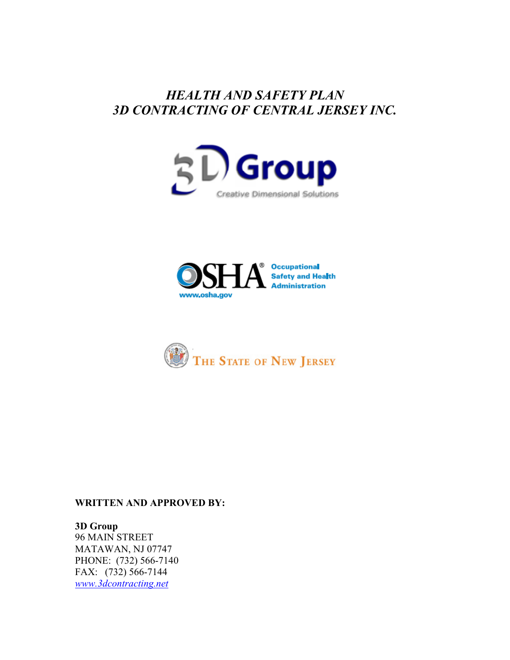# *HEALTH AND SAFETY PLAN 3D CONTRACTING OF CENTRAL JERSEY INC.*







#### **WRITTEN AND APPROVED BY:**

#### **3D Group**  96 MAIN STREET

MATAWAN, NJ 07747 PHONE: (732) 566-7140 FAX: (732) 566-7144 *www.3dcontracting.net*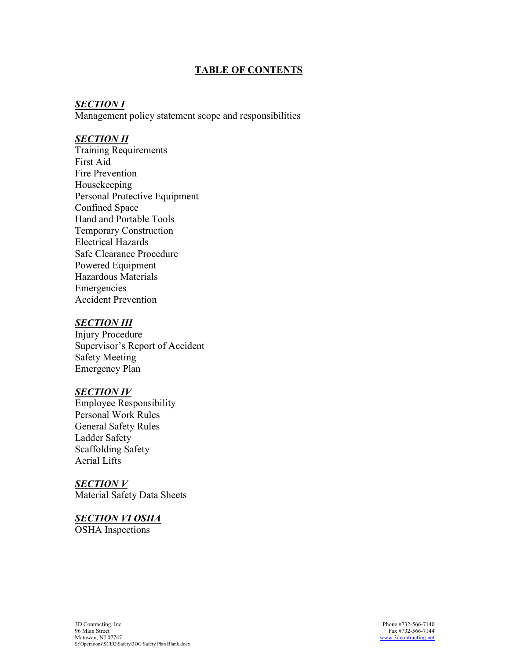## **TABLE OF CONTENTS**

#### *SECTION I*

Management policy statement scope and responsibilities

#### *SECTION II*

Training Requirements First Aid Fire Prevention Housekeeping Personal Protective Equipment Confined Space Hand and Portable Tools Temporary Construction Electrical Hazards Safe Clearance Procedure Powered Equipment Hazardous Materials Emergencies Accident Prevention

## *SECTION III*

Injury Procedure Supervisor's Report of Accident Safety Meeting Emergency Plan

#### *SECTION IV*

Employee Responsibility Personal Work Rules General Safety Rules Ladder Safety Scaffolding Safety Aerial Lifts

#### *SECTION V*

Material Safety Data Sheets

# *SECTION VI OSHA*

OSHA Inspections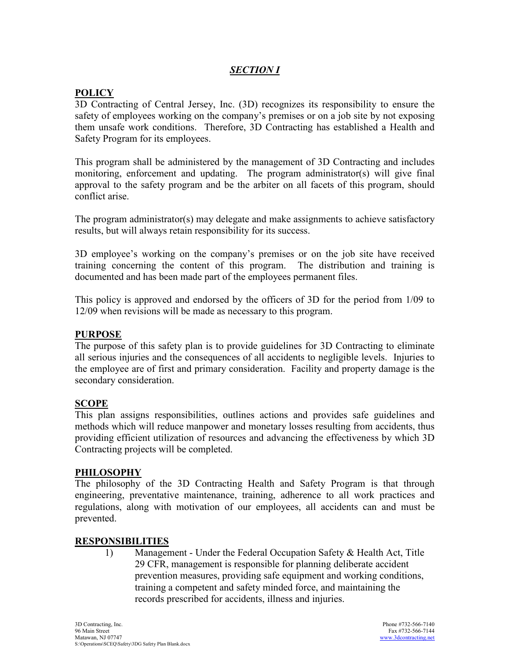## *SECTION I*

## **POLICY**

3D Contracting of Central Jersey, Inc. (3D) recognizes its responsibility to ensure the safety of employees working on the company's premises or on a job site by not exposing them unsafe work conditions. Therefore, 3D Contracting has established a Health and Safety Program for its employees.

This program shall be administered by the management of 3D Contracting and includes monitoring, enforcement and updating. The program administrator(s) will give final approval to the safety program and be the arbiter on all facets of this program, should conflict arise.

The program administrator(s) may delegate and make assignments to achieve satisfactory results, but will always retain responsibility for its success.

3D employee's working on the company's premises or on the job site have received training concerning the content of this program. The distribution and training is documented and has been made part of the employees permanent files.

This policy is approved and endorsed by the officers of 3D for the period from 1/09 to 12/09 when revisions will be made as necessary to this program.

#### **PURPOSE**

The purpose of this safety plan is to provide guidelines for 3D Contracting to eliminate all serious injuries and the consequences of all accidents to negligible levels. Injuries to the employee are of first and primary consideration. Facility and property damage is the secondary consideration.

#### **SCOPE**

This plan assigns responsibilities, outlines actions and provides safe guidelines and methods which will reduce manpower and monetary losses resulting from accidents, thus providing efficient utilization of resources and advancing the effectiveness by which 3D Contracting projects will be completed.

#### **PHILOSOPHY**

The philosophy of the 3D Contracting Health and Safety Program is that through engineering, preventative maintenance, training, adherence to all work practices and regulations, along with motivation of our employees, all accidents can and must be prevented.

#### **RESPONSIBILITIES**

1) Management - Under the Federal Occupation Safety & Health Act, Title 29 CFR, management is responsible for planning deliberate accident prevention measures, providing safe equipment and working conditions, training a competent and safety minded force, and maintaining the records prescribed for accidents, illness and injuries.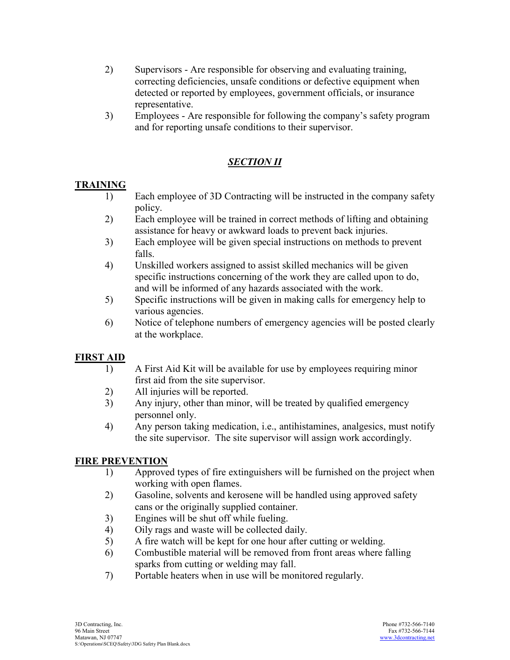- 2) Supervisors Are responsible for observing and evaluating training, correcting deficiencies, unsafe conditions or defective equipment when detected or reported by employees, government officials, or insurance representative.
- 3) Employees Are responsible for following the company's safety program and for reporting unsafe conditions to their supervisor.

# *SECTION II*

## **TRAINING**

- 1) Each employee of 3D Contracting will be instructed in the company safety policy.
- 2) Each employee will be trained in correct methods of lifting and obtaining assistance for heavy or awkward loads to prevent back injuries.
- 3) Each employee will be given special instructions on methods to prevent falls.
- 4) Unskilled workers assigned to assist skilled mechanics will be given specific instructions concerning of the work they are called upon to do, and will be informed of any hazards associated with the work.
- 5) Specific instructions will be given in making calls for emergency help to various agencies.
- 6) Notice of telephone numbers of emergency agencies will be posted clearly at the workplace.

## **FIRST AID**

- 1) A First Aid Kit will be available for use by employees requiring minor first aid from the site supervisor.
- 2) All injuries will be reported.
- 3) Any injury, other than minor, will be treated by qualified emergency personnel only.
- 4) Any person taking medication, i.e., antihistamines, analgesics, must notify the site supervisor. The site supervisor will assign work accordingly.

## **FIRE PREVENTION**

- 1) Approved types of fire extinguishers will be furnished on the project when working with open flames.
- 2) Gasoline, solvents and kerosene will be handled using approved safety cans or the originally supplied container.
- 3) Engines will be shut off while fueling.
- 4) Oily rags and waste will be collected daily.
- 5) A fire watch will be kept for one hour after cutting or welding.
- 6) Combustible material will be removed from front areas where falling sparks from cutting or welding may fall.
- 7) Portable heaters when in use will be monitored regularly.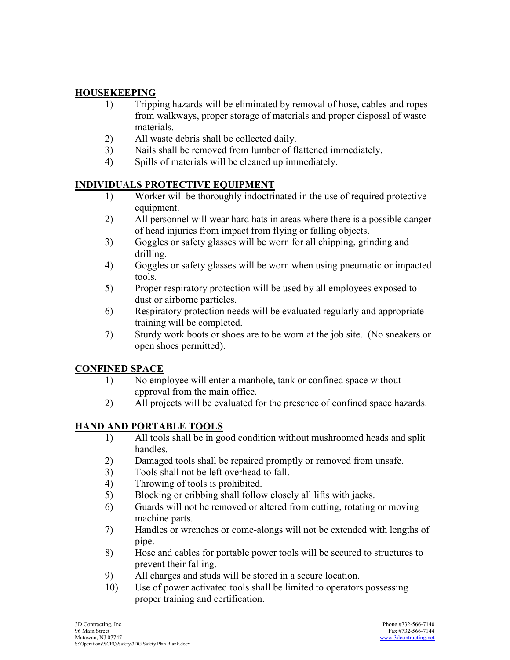## **HOUSEKEEPING**

- 1) Tripping hazards will be eliminated by removal of hose, cables and ropes from walkways, proper storage of materials and proper disposal of waste materials.
- 2) All waste debris shall be collected daily.
- 3) Nails shall be removed from lumber of flattened immediately.
- 4) Spills of materials will be cleaned up immediately.

## **INDIVIDUALS PROTECTIVE EQUIPMENT**

- 1) Worker will be thoroughly indoctrinated in the use of required protective equipment.
- 2) All personnel will wear hard hats in areas where there is a possible danger of head injuries from impact from flying or falling objects.
- 3) Goggles or safety glasses will be worn for all chipping, grinding and drilling.
- 4) Goggles or safety glasses will be worn when using pneumatic or impacted tools.
- 5) Proper respiratory protection will be used by all employees exposed to dust or airborne particles.
- 6) Respiratory protection needs will be evaluated regularly and appropriate training will be completed.
- 7) Sturdy work boots or shoes are to be worn at the job site. (No sneakers or open shoes permitted).

## **CONFINED SPACE**

- 1) No employee will enter a manhole, tank or confined space without approval from the main office.
- 2) All projects will be evaluated for the presence of confined space hazards.

## **HAND AND PORTABLE TOOLS**

- 1) All tools shall be in good condition without mushroomed heads and split handles.
- 2) Damaged tools shall be repaired promptly or removed from unsafe.
- 3) Tools shall not be left overhead to fall.
- 4) Throwing of tools is prohibited.
- 5) Blocking or cribbing shall follow closely all lifts with jacks.
- 6) Guards will not be removed or altered from cutting, rotating or moving machine parts.
- 7) Handles or wrenches or comealongs will not be extended with lengths of pipe.
- 8) Hose and cables for portable power tools will be secured to structures to prevent their falling.
- 9) All charges and studs will be stored in a secure location.
- 10) Use of power activated tools shall be limited to operators possessing proper training and certification.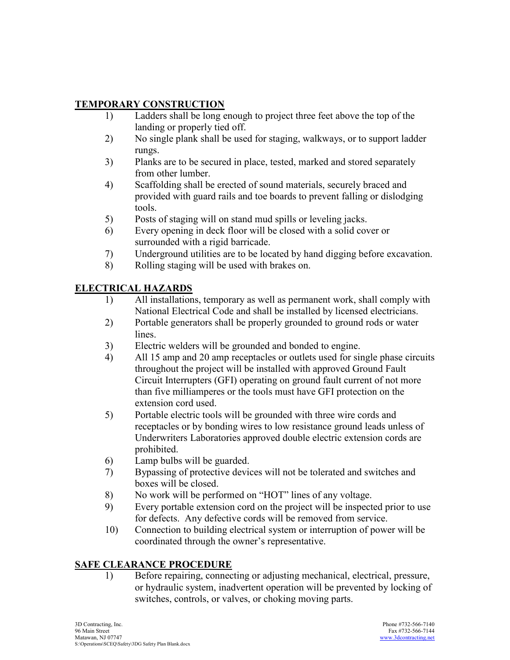# **TEMPORARY CONSTRUCTION**

- 1) Ladders shall be long enough to project three feet above the top of the landing or properly tied off.
- 2) No single plank shall be used for staging, walkways, or to support ladder rungs.
- 3) Planks are to be secured in place, tested, marked and stored separately from other lumber.
- 4) Scaffolding shall be erected of sound materials, securely braced and provided with guard rails and toe boards to prevent falling or dislodging tools.
- 5) Posts of staging will on stand mud spills or leveling jacks.
- 6) Every opening in deck floor will be closed with a solid cover or surrounded with a rigid barricade.
- 7) Underground utilities are to be located by hand digging before excavation.
- 8) Rolling staging will be used with brakes on.

# **ELECTRICAL HAZARDS**

- 1) All installations, temporary as well as permanent work, shall comply with National Electrical Code and shall be installed by licensed electricians.
- 2) Portable generators shall be properly grounded to ground rods or water lines.
- 3) Electric welders will be grounded and bonded to engine.
- 4) All 15 amp and 20 amp receptacles or outlets used for single phase circuits throughout the project will be installed with approved Ground Fault Circuit Interrupters (GFI) operating on ground fault current of not more than five milliamperes or the tools must have GFI protection on the extension cord used.
- 5) Portable electric tools will be grounded with three wire cords and receptacles or by bonding wires to low resistance ground leads unless of Underwriters Laboratories approved double electric extension cords are prohibited.
- 6) Lamp bulbs will be guarded.
- 7) Bypassing of protective devices will not be tolerated and switches and boxes will be closed.
- 8) No work will be performed on "HOT" lines of any voltage.
- 9) Every portable extension cord on the project will be inspected prior to use for defects. Any defective cords will be removed from service.
- 10) Connection to building electrical system or interruption of power will be coordinated through the owner's representative.

## **SAFE CLEARANCE PROCEDURE**

 1) Before repairing, connecting or adjusting mechanical, electrical, pressure, or hydraulic system, inadvertent operation will be prevented by locking of switches, controls, or valves, or choking moving parts.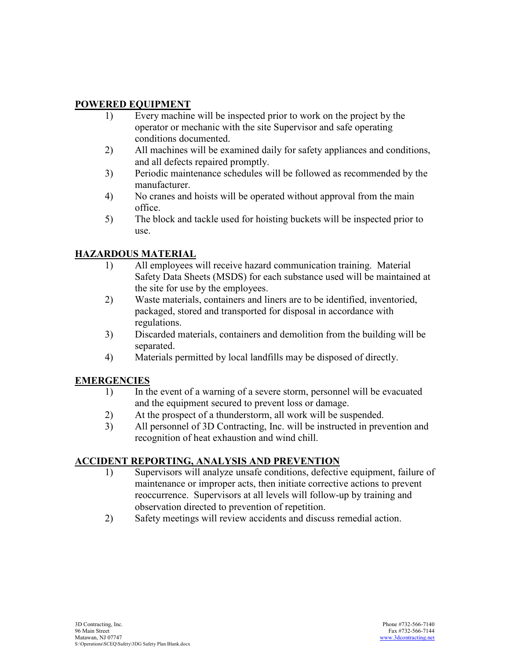## **POWERED EQUIPMENT**

- 1) Every machine will be inspected prior to work on the project by the operator or mechanic with the site Supervisor and safe operating conditions documented.
- 2) All machines will be examined daily for safety appliances and conditions, and all defects repaired promptly.
- 3) Periodic maintenance schedules will be followed as recommended by the manufacturer.
- 4) No cranes and hoists will be operated without approval from the main office.
- 5) The block and tackle used for hoisting buckets will be inspected prior to use.

## **HAZARDOUS MATERIAL**

- 1) All employees will receive hazard communication training. Material Safety Data Sheets (MSDS) for each substance used will be maintained at the site for use by the employees.
- 2) Waste materials, containers and liners are to be identified, inventoried, packaged, stored and transported for disposal in accordance with regulations.
- 3) Discarded materials, containers and demolition from the building will be separated.
- 4) Materials permitted by local landfills may be disposed of directly.

## **EMERGENCIES**

- 1) In the event of a warning of a severe storm, personnel will be evacuated and the equipment secured to prevent loss or damage.
- 2) At the prospect of a thunderstorm, all work will be suspended.
- 3) All personnel of 3D Contracting, Inc. will be instructed in prevention and recognition of heat exhaustion and wind chill.

## **ACCIDENT REPORTING, ANALYSIS AND PREVENTION**

- 1) Supervisors will analyze unsafe conditions, defective equipment, failure of maintenance or improper acts, then initiate corrective actions to prevent reoccurrence. Supervisors at all levels will follow-up by training and observation directed to prevention of repetition.
- 2) Safety meetings will review accidents and discuss remedial action.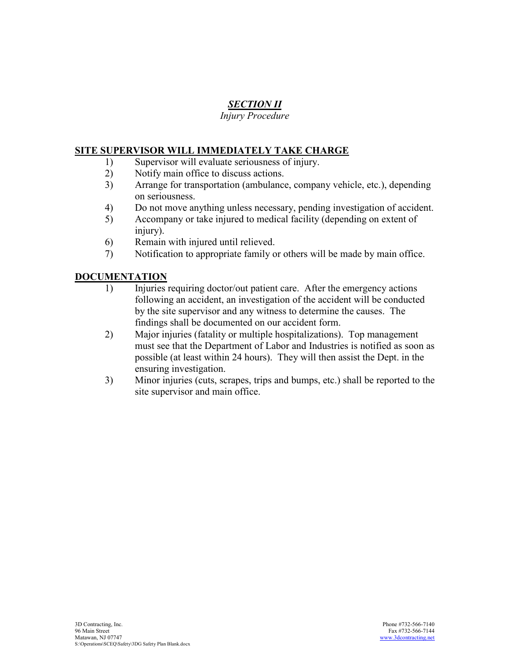# *SECTION II*

## *Injury Procedure*

#### **SITE SUPERVISOR WILL IMMEDIATELY TAKE CHARGE**

- 1) Supervisor will evaluate seriousness of injury.
- 2) Notify main office to discuss actions.
- 3) Arrange for transportation (ambulance, company vehicle, etc.), depending on seriousness.
- 4) Do not move anything unless necessary, pending investigation of accident.
- 5) Accompany or take injured to medical facility (depending on extent of injury).
- 6) Remain with injured until relieved.
- 7) Notification to appropriate family or others will be made by main office.

## **DOCUMENTATION**

- 1) Injuries requiring doctor/out patient care. After the emergency actions following an accident, an investigation of the accident will be conducted by the site supervisor and any witness to determine the causes. The findings shall be documented on our accident form.
- 2) Major injuries (fatality or multiple hospitalizations). Top management must see that the Department of Labor and Industries is notified as soon as possible (at least within 24 hours). They will then assist the Dept. in the ensuring investigation.
- 3) Minor injuries (cuts, scrapes, trips and bumps, etc.) shall be reported to the site supervisor and main office.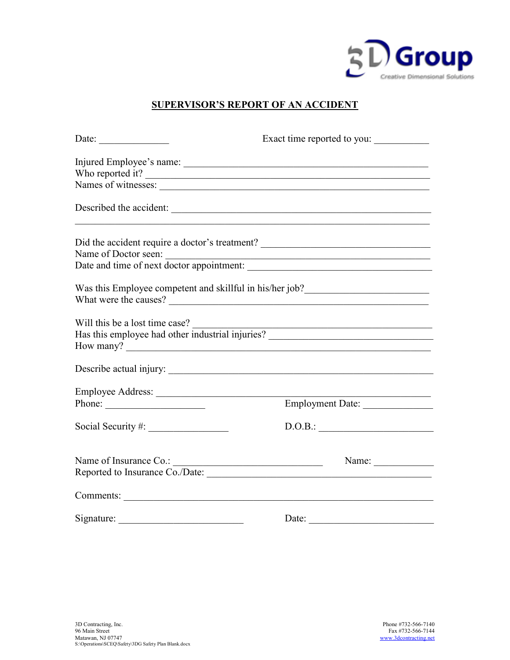

## **SUPERVISOR'S REPORT OF AN ACCIDENT**

| Date:                                                                                                     | Exact time reported to you:                              |  |  |  |
|-----------------------------------------------------------------------------------------------------------|----------------------------------------------------------|--|--|--|
|                                                                                                           |                                                          |  |  |  |
| Who reported it?                                                                                          |                                                          |  |  |  |
|                                                                                                           |                                                          |  |  |  |
| Described the accident:                                                                                   |                                                          |  |  |  |
| Did the accident require a doctor's treatment? __________________________________                         |                                                          |  |  |  |
| Name of Doctor seen:<br>Date and time of next doctor appointment:<br>                                     |                                                          |  |  |  |
|                                                                                                           |                                                          |  |  |  |
| Was this Employee competent and skillful in his/her job?________________________<br>What were the causes? |                                                          |  |  |  |
| Will this be a lost time case?<br>Has this employee had other industrial injuries?                        |                                                          |  |  |  |
|                                                                                                           |                                                          |  |  |  |
|                                                                                                           |                                                          |  |  |  |
| Employee Address:                                                                                         |                                                          |  |  |  |
| Phone: $\qquad \qquad$                                                                                    | Employment Date:                                         |  |  |  |
|                                                                                                           | D.O.B.:                                                  |  |  |  |
|                                                                                                           | Name: $\frac{1}{\sqrt{1-\frac{1}{2}} \cdot \frac{1}{2}}$ |  |  |  |
| Reported to Insurance Co./Date:                                                                           |                                                          |  |  |  |
|                                                                                                           |                                                          |  |  |  |
|                                                                                                           |                                                          |  |  |  |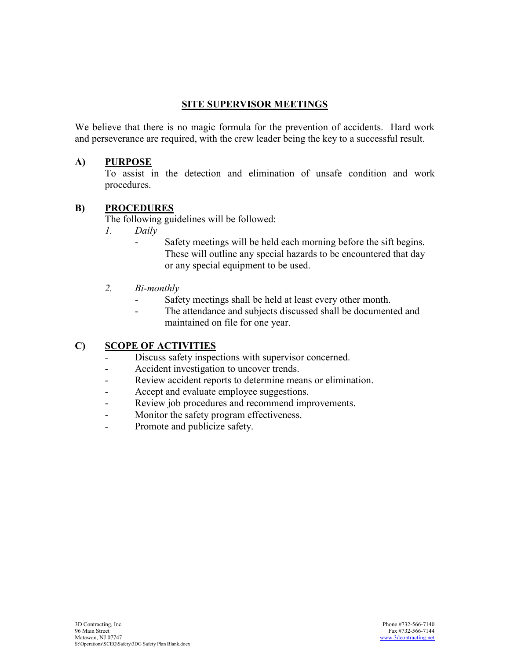## **SITE SUPERVISOR MEETINGS**

We believe that there is no magic formula for the prevention of accidents. Hard work and perseverance are required, with the crew leader being the key to a successful result.

## **A) PURPOSE**

 To assist in the detection and elimination of unsafe condition and work procedures.

#### **B) PROCEDURES**

The following guidelines will be followed:

- *1. Daily* 
	- Safety meetings will be held each morning before the sift begins. These will outline any special hazards to be encountered that day or any special equipment to be used.
- 2. *Bi-monthly* 
	- Safety meetings shall be held at least every other month.
	- The attendance and subjects discussed shall be documented and maintained on file for one year.

## **C) SCOPE OF ACTIVITIES**

- Discuss safety inspections with supervisor concerned.
- Accident investigation to uncover trends.
- Review accident reports to determine means or elimination.
- Accept and evaluate employee suggestions.
- Review job procedures and recommend improvements.
- Monitor the safety program effectiveness.
- Promote and publicize safety.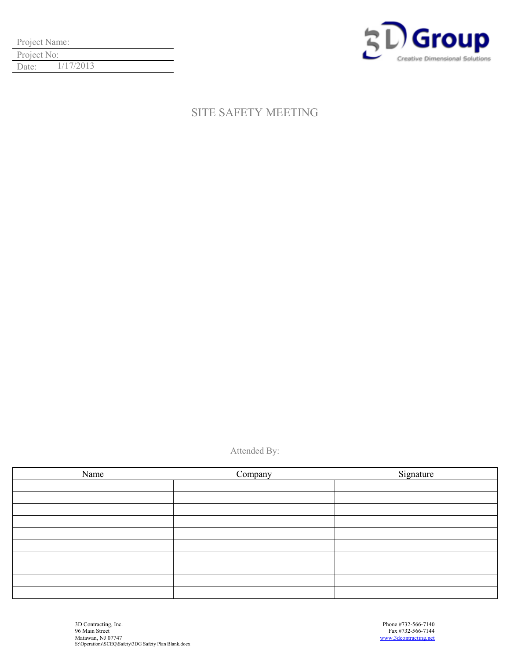| Project Name: |           |  |
|---------------|-----------|--|
| Project No:   |           |  |
| Date:         | 1/17/2013 |  |



# SITE SAFETY MEETING

Attended By:

| Name | Company | Signature |
|------|---------|-----------|
|      |         |           |
|      |         |           |
|      |         |           |
|      |         |           |
|      |         |           |
|      |         |           |
|      |         |           |
|      |         |           |
|      |         |           |
|      |         |           |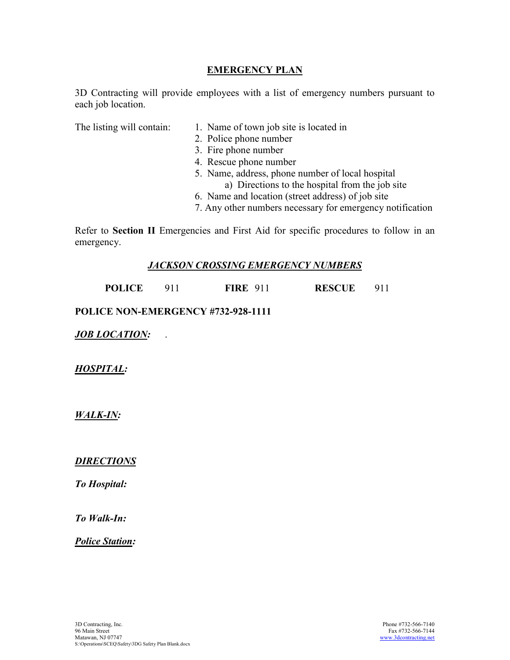## **EMERGENCY PLAN**

3D Contracting will provide employees with a list of emergency numbers pursuant to each job location.

- The listing will contain: 1. Name of town job site is located in
	- 2. Police phone number
	- 3. Fire phone number
	- 4. Rescue phone number
	- 5. Name, address, phone number of local hospital
		- a) Directions to the hospital from the job site
	- 6. Name and location (street address) of job site
	- 7. Any other numbers necessary for emergency notification

Refer to **Section II** Emergencies and First Aid for specific procedures to follow in an emergency.

#### *JACKSON CROSSING EMERGENCY NUMBERS*

 **POLICE** 911 **FIRE** 911 **RESCUE** 911

#### **POLICE NON-EMERGENCY #732-928-1111**

*JOB LOCATION:* .

*HOSPITAL:*

*WALKIN:*

## *DIRECTIONS*

*To Hospital:*

*To Walk-In:* 

*Police Station:*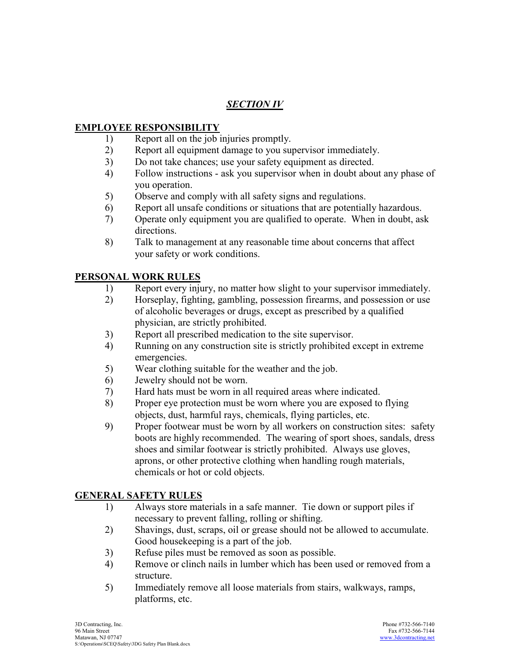## *SECTION IV*

## **EMPLOYEE RESPONSIBILITY**

- 1) Report all on the job injuries promptly.
- 2) Report all equipment damage to you supervisor immediately.
- 3) Do not take chances; use your safety equipment as directed.
- 4) Follow instructions ask you supervisor when in doubt about any phase of you operation.
- 5) Observe and comply with all safety signs and regulations.
- 6) Report all unsafe conditions or situations that are potentially hazardous.
- 7) Operate only equipment you are qualified to operate. When in doubt, ask directions.
- 8) Talk to management at any reasonable time about concerns that affect your safety or work conditions.

## **PERSONAL WORK RULES**

- 1) Report every injury, no matter how slight to your supervisor immediately.
- 2) Horseplay, fighting, gambling, possession firearms, and possession or use of alcoholic beverages or drugs, except as prescribed by a qualified physician, are strictly prohibited.
- 3) Report all prescribed medication to the site supervisor.
- 4) Running on any construction site is strictly prohibited except in extreme emergencies.
- 5) Wear clothing suitable for the weather and the job.
- 6) Jewelry should not be worn.
- 7) Hard hats must be worn in all required areas where indicated.
- 8) Proper eye protection must be worn where you are exposed to flying objects, dust, harmful rays, chemicals, flying particles, etc.
- 9) Proper footwear must be worn by all workers on construction sites: safety boots are highly recommended. The wearing of sport shoes, sandals, dress shoes and similar footwear is strictly prohibited. Always use gloves, aprons, or other protective clothing when handling rough materials, chemicals or hot or cold objects.

## **GENERAL SAFETY RULES**

- 1) Always store materials in a safe manner. Tie down or support piles if necessary to prevent falling, rolling or shifting.
- 2) Shavings, dust, scraps, oil or grease should not be allowed to accumulate. Good housekeeping is a part of the job.
- 3) Refuse piles must be removed as soon as possible.
- 4) Remove or clinch nails in lumber which has been used or removed from a structure.
- 5) Immediately remove all loose materials from stairs, walkways, ramps, platforms, etc.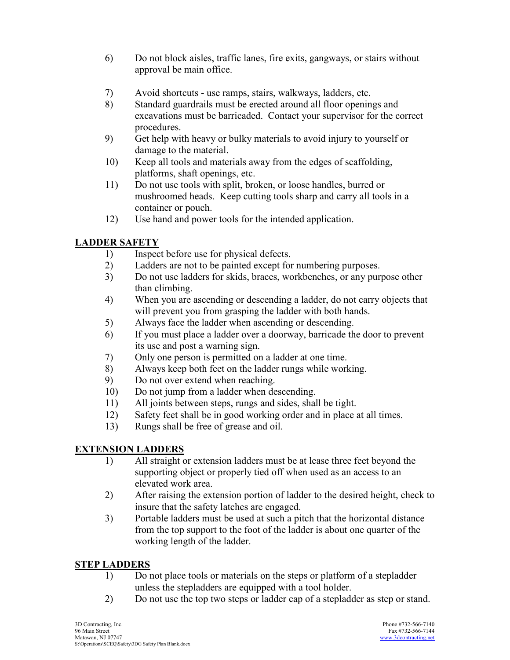- 6) Do not block aisles, traffic lanes, fire exits, gangways, or stairs without approval be main office.
- 7) Avoid shortcuts use ramps, stairs, walkways, ladders, etc.
- 8) Standard guardrails must be erected around all floor openings and excavations must be barricaded. Contact your supervisor for the correct procedures.
- 9) Get help with heavy or bulky materials to avoid injury to yourself or damage to the material.
- 10) Keep all tools and materials away from the edges of scaffolding, platforms, shaft openings, etc.
- 11) Do not use tools with split, broken, or loose handles, burred or mushroomed heads. Keep cutting tools sharp and carry all tools in a container or pouch.
- 12) Use hand and power tools for the intended application.

# **LADDER SAFETY**

- 1) Inspect before use for physical defects.
- 2) Ladders are not to be painted except for numbering purposes.
- 3) Do not use ladders for skids, braces, workbenches, or any purpose other than climbing.
- 4) When you are ascending or descending a ladder, do not carry objects that will prevent you from grasping the ladder with both hands.
- 5) Always face the ladder when ascending or descending.
- 6) If you must place a ladder over a doorway, barricade the door to prevent its use and post a warning sign.
- 7) Only one person is permitted on a ladder at one time.
- 8) Always keep both feet on the ladder rungs while working.
- 9) Do not over extend when reaching.
- 10) Do not jump from a ladder when descending.
- 11) All joints between steps, rungs and sides, shall be tight.
- 12) Safety feet shall be in good working order and in place at all times.
- 13) Rungs shall be free of grease and oil.

## **EXTENSION LADDERS**

- 1) All straight or extension ladders must be at lease three feet beyond the supporting object or properly tied off when used as an access to an elevated work area.
- 2) After raising the extension portion of ladder to the desired height, check to insure that the safety latches are engaged.
- 3) Portable ladders must be used at such a pitch that the horizontal distance from the top support to the foot of the ladder is about one quarter of the working length of the ladder.

## **STEP LADDERS**

- 1) Do not place tools or materials on the steps or platform of a stepladder unless the stepladders are equipped with a tool holder.
- 2) Do not use the top two steps or ladder cap of a stepladder as step or stand.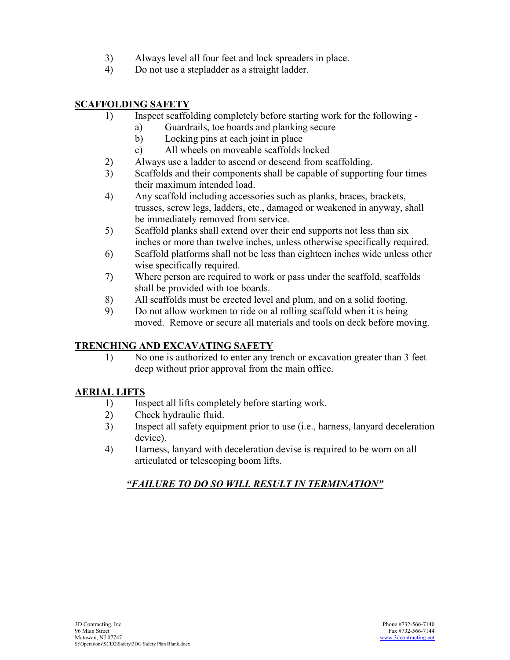- 3) Always level all four feet and lock spreaders in place.
- 4) Do not use a stepladder as a straight ladder.

## **SCAFFOLDING SAFETY**

- 1) Inspect scaffolding completely before starting work for the following
	- a) Guardrails, toe boards and planking secure
	- b) Locking pins at each joint in place
	- c) All wheels on moveable scaffolds locked
- 2) Always use a ladder to ascend or descend from scaffolding.
- 3) Scaffolds and their components shall be capable of supporting four times their maximum intended load.
- 4) Any scaffold including accessories such as planks, braces, brackets, trusses, screw legs, ladders, etc., damaged or weakened in anyway, shall be immediately removed from service.
- 5) Scaffold planks shall extend over their end supports not less than six inches or more than twelve inches, unless otherwise specifically required.
- 6) Scaffold platforms shall not be less than eighteen inches wide unless other wise specifically required.
- 7) Where person are required to work or pass under the scaffold, scaffolds shall be provided with toe boards.
- 8) All scaffolds must be erected level and plum, and on a solid footing.
- 9) Do not allow workmen to ride on al rolling scaffold when it is being moved. Remove or secure all materials and tools on deck before moving.

# **TRENCHING AND EXCAVATING SAFETY**

 1) No one is authorized to enter any trench or excavation greater than 3 feet deep without prior approval from the main office.

# **AERIAL LIFTS**

- 1) Inspect all lifts completely before starting work.
- 2) Check hydraulic fluid.
- 3) Inspect all safety equipment prior to use (i.e., harness, lanyard deceleration device).
- 4) Harness, lanyard with deceleration devise is required to be worn on all articulated or telescoping boom lifts.

# *"FAILURE TO DO SO WILL RESULT IN TERMINATION"*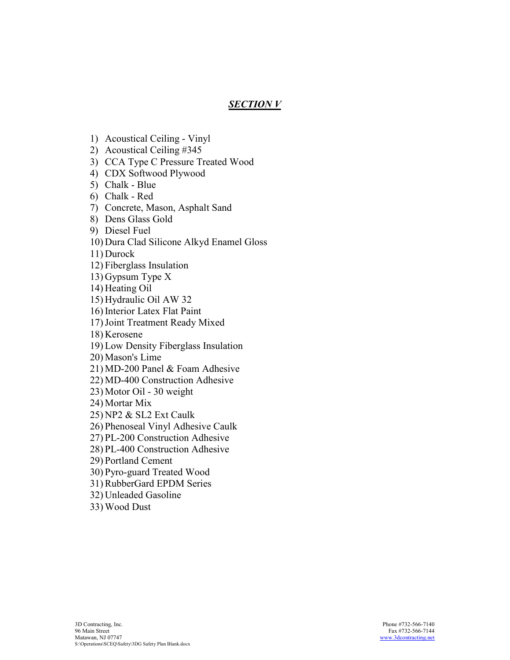## *SECTION V*

- 1) Acoustical Ceiling Vinyl
- 2) Acoustical Ceiling #345
- 3) CCA Type C Pressure Treated Wood
- 4) CDX Softwood Plywood
- 5) Chalk Blue
- 6) Chalk Red
- 7) Concrete, Mason, Asphalt Sand
- 8) Dens Glass Gold
- 9) Diesel Fuel
- 10) Dura Clad Silicone Alkyd Enamel Gloss
- 11) Durock
- 12) Fiberglass Insulation
- 13) Gypsum Type X
- 14) Heating Oil
- 15) Hydraulic Oil AW 32
- 16) Interior Latex Flat Paint
- 17)Joint Treatment Ready Mixed
- 18) Kerosene
- 19) Low Density Fiberglass Insulation
- 20) Mason's Lime
- 21) MD-200 Panel & Foam Adhesive
- 22) MD-400 Construction Adhesive
- 23) Motor Oil 30 weight
- 24) Mortar Mix
- 25) NP2 & SL2 Ext Caulk
- 26) Phenoseal Vinyl Adhesive Caulk
- 27) PL-200 Construction Adhesive
- 28) PL-400 Construction Adhesive
- 29) Portland Cement
- 30) Pyro-guard Treated Wood
- 31) RubberGard EPDM Series
- 32) Unleaded Gasoline
- 33) Wood Dust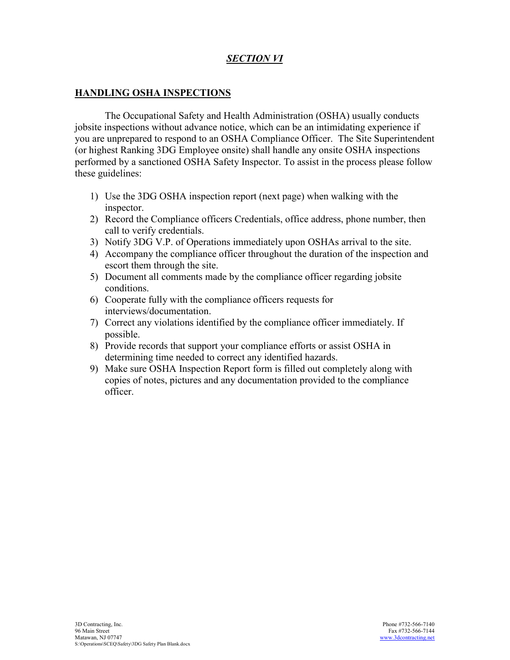## *SECTION VI*

#### **HANDLING OSHA INSPECTIONS**

 The Occupational Safety and Health Administration (OSHA) usually conducts jobsite inspections without advance notice, which can be an intimidating experience if you are unprepared to respond to an OSHA Compliance Officer. The Site Superintendent (or highest Ranking 3DG Employee onsite) shall handle any onsite OSHA inspections performed by a sanctioned OSHA Safety Inspector. To assist in the process please follow these guidelines:

- 1) Use the 3DG OSHA inspection report (next page) when walking with the inspector.
- 2) Record the Compliance officers Credentials, office address, phone number, then call to verify credentials.
- 3) Notify 3DG V.P. of Operations immediately upon OSHAs arrival to the site.
- 4) Accompany the compliance officer throughout the duration of the inspection and escort them through the site.
- 5) Document all comments made by the compliance officer regarding jobsite conditions.
- 6) Cooperate fully with the compliance officers requests for interviews/documentation.
- 7) Correct any violations identified by the compliance officer immediately. If possible.
- 8) Provide records that support your compliance efforts or assist OSHA in determining time needed to correct any identified hazards.
- 9) Make sure OSHA Inspection Report form is filled out completely along with copies of notes, pictures and any documentation provided to the compliance officer.